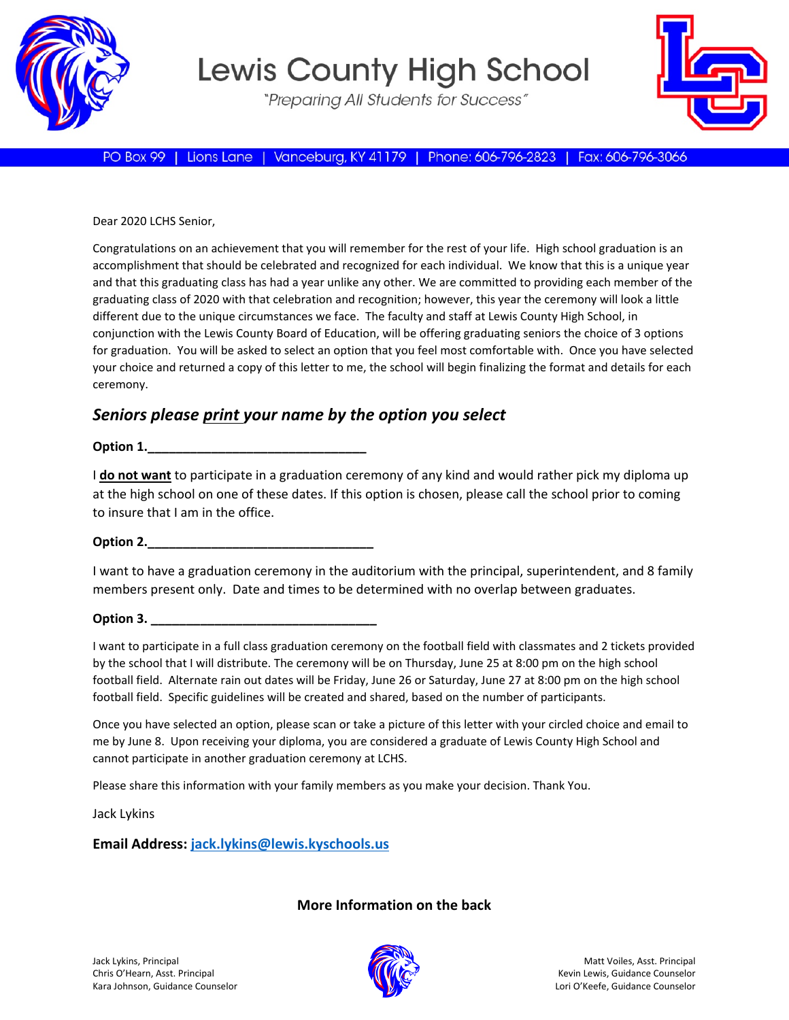

# **Lewis County High School**

"Preparing All Students for Success"



PO Box 99 | Lions Lane | Vanceburg, KY 41179 | Phone: 606-796-2823 | Fax: 606-796-3066

Dear 2020 LCHS Senior,

Congratulations on an achievement that you will remember for the rest of your life. High school graduation is an accomplishment that should be celebrated and recognized for each individual. We know that this is a unique year and that this graduating class has had a year unlike any other. We are committed to providing each member of the graduating class of 2020 with that celebration and recognition; however, this year the ceremony will look a little different due to the unique circumstances we face. The faculty and staff at Lewis County High School, in conjunction with the Lewis County Board of Education, will be offering graduating seniors the choice of 3 options for graduation. You will be asked to select an option that you feel most comfortable with. Once you have selected your choice and returned a copy of this letter to me, the school will begin finalizing the format and details for each ceremony.

# *Seniors please print your name by the option you select*

**Option 1.\_\_\_\_\_\_\_\_\_\_\_\_\_\_\_\_\_\_\_\_\_\_\_\_\_\_\_\_\_\_\_**

I **do not want** to participate in a graduation ceremony of any kind and would rather pick my diploma up at the high school on one of these dates. If this option is chosen, please call the school prior to coming to insure that I am in the office.

## **Option 2.\_\_\_\_\_\_\_\_\_\_\_\_\_\_\_\_\_\_\_\_\_\_\_\_\_\_\_\_\_\_\_\_**

I want to have a graduation ceremony in the auditorium with the principal, superintendent, and 8 family members present only. Date and times to be determined with no overlap between graduates.

## **Option 3.**

I want to participate in a full class graduation ceremony on the football field with classmates and 2 tickets provided by the school that I will distribute. The ceremony will be on Thursday, June 25 at 8:00 pm on the high school football field. Alternate rain out dates will be Friday, June 26 or Saturday, June 27 at 8:00 pm on the high school football field. Specific guidelines will be created and shared, based on the number of participants.

Once you have selected an option, please scan or take a picture of this letter with your circled choice and email to me by June 8. Upon receiving your diploma, you are considered a graduate of Lewis County High School and cannot participate in another graduation ceremony at LCHS.

Please share this information with your family members as you make your decision. Thank You.

Jack Lykins

#### **Email Address: [jack.lykins@lewis.kyschools.us](mailto:jack.lykins@lewis.kyschools.us)**

#### **More Information on the back**